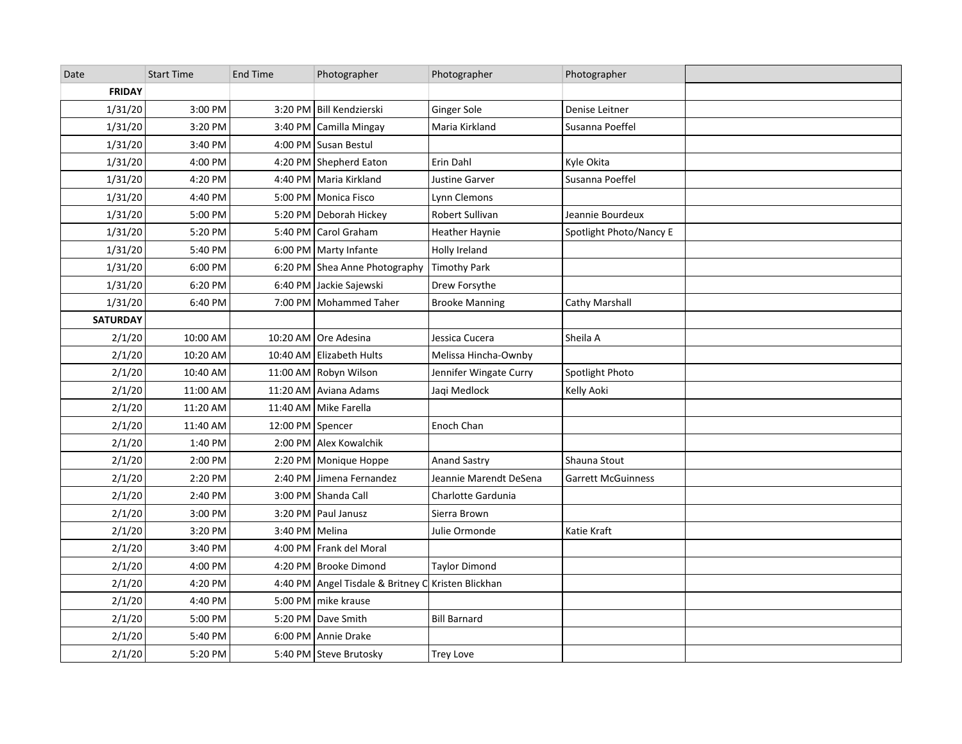| Date            | <b>Start Time</b> | <b>End Time</b>  | Photographer                                       | Photographer           | Photographer              |  |
|-----------------|-------------------|------------------|----------------------------------------------------|------------------------|---------------------------|--|
| <b>FRIDAY</b>   |                   |                  |                                                    |                        |                           |  |
| 1/31/20         | 3:00 PM           |                  | 3:20 PM Bill Kendzierski                           | Ginger Sole            | Denise Leitner            |  |
| 1/31/20         | 3:20 PM           | 3:40 PM          | Camilla Mingay                                     | Maria Kirkland         | Susanna Poeffel           |  |
| 1/31/20         | 3:40 PM           |                  | 4:00 PM Susan Bestul                               |                        |                           |  |
| 1/31/20         | 4:00 PM           |                  | 4:20 PM Shepherd Eaton                             | Erin Dahl              | Kyle Okita                |  |
| 1/31/20         | 4:20 PM           |                  | 4:40 PM   Maria Kirkland                           | Justine Garver         | Susanna Poeffel           |  |
| 1/31/20         | 4:40 PM           |                  | 5:00 PM   Monica Fisco                             | Lynn Clemons           |                           |  |
| 1/31/20         | 5:00 PM           |                  | 5:20 PM Deborah Hickey                             | Robert Sullivan        | Jeannie Bourdeux          |  |
| 1/31/20         | 5:20 PM           |                  | 5:40 PM Carol Graham                               | <b>Heather Haynie</b>  | Spotlight Photo/Nancy E   |  |
| 1/31/20         | 5:40 PM           |                  | 6:00 PM Marty Infante                              | Holly Ireland          |                           |  |
| 1/31/20         | 6:00 PM           |                  | 6:20 PM Shea Anne Photography                      | <b>Timothy Park</b>    |                           |  |
| 1/31/20         | 6:20 PM           | 6:40 PM          | Jackie Sajewski                                    | Drew Forsythe          |                           |  |
| 1/31/20         | 6:40 PM           | 7:00 PM          | Mohammed Taher                                     | <b>Brooke Manning</b>  | Cathy Marshall            |  |
| <b>SATURDAY</b> |                   |                  |                                                    |                        |                           |  |
| 2/1/20          | 10:00 AM          |                  | 10:20 AM   Ore Adesina                             | Jessica Cucera         | Sheila A                  |  |
| 2/1/20          | 10:20 AM          |                  | 10:40 AM   Elizabeth Hults                         | Melissa Hincha-Ownby   |                           |  |
| 2/1/20          | 10:40 AM          |                  | 11:00 AM Robyn Wilson                              | Jennifer Wingate Curry | Spotlight Photo           |  |
| 2/1/20          | 11:00 AM          |                  | 11:20 AM Aviana Adams                              | Jagi Medlock           | Kelly Aoki                |  |
| 2/1/20          | 11:20 AM          |                  | 11:40 AM Mike Farella                              |                        |                           |  |
| 2/1/20          | 11:40 AM          | 12:00 PM Spencer |                                                    | Enoch Chan             |                           |  |
| 2/1/20          | 1:40 PM           |                  | 2:00 PM   Alex Kowalchik                           |                        |                           |  |
| 2/1/20          | 2:00 PM           |                  | 2:20 PM   Monique Hoppe                            | <b>Anand Sastry</b>    | Shauna Stout              |  |
| 2/1/20          | 2:20 PM           |                  | 2:40 PM Jimena Fernandez                           | Jeannie Marendt DeSena | <b>Garrett McGuinness</b> |  |
| 2/1/20          | 2:40 PM           |                  | 3:00 PM Shanda Call                                | Charlotte Gardunia     |                           |  |
| 2/1/20          | 3:00 PM           | 3:20 PM          | Paul Janusz                                        | Sierra Brown           |                           |  |
| 2/1/20          | 3:20 PM           | 3:40 PM Melina   |                                                    | Julie Ormonde          | Katie Kraft               |  |
| 2/1/20          | 3:40 PM           |                  | 4:00 PM Frank del Moral                            |                        |                           |  |
| 2/1/20          | 4:00 PM           |                  | 4:20 PM   Brooke Dimond                            | <b>Taylor Dimond</b>   |                           |  |
| 2/1/20          | 4:20 PM           |                  | 4:40 PM Angel Tisdale & Britney C Kristen Blickhan |                        |                           |  |
| 2/1/20          | 4:40 PM           |                  | 5:00 PM   mike krause                              |                        |                           |  |
| 2/1/20          | 5:00 PM           |                  | 5:20 PM   Dave Smith                               | <b>Bill Barnard</b>    |                           |  |
| 2/1/20          | 5:40 PM           |                  | 6:00 PM Annie Drake                                |                        |                           |  |
| 2/1/20          | 5:20 PM           |                  | 5:40 PM Steve Brutosky                             | <b>Trey Love</b>       |                           |  |